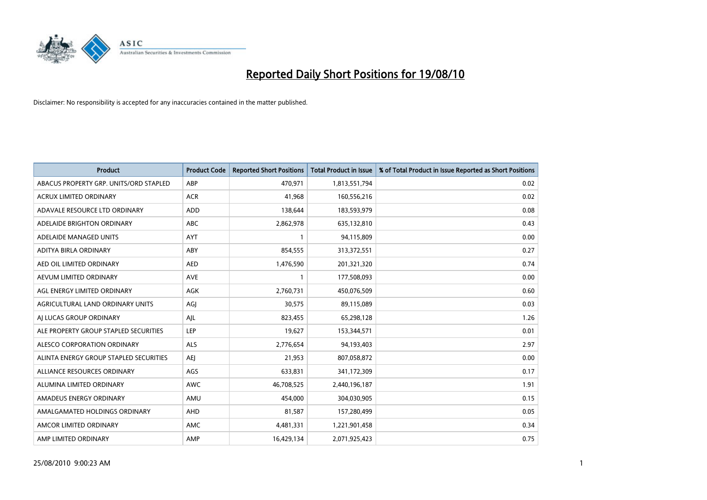

| <b>Product</b>                         | <b>Product Code</b> | <b>Reported Short Positions</b> | <b>Total Product in Issue</b> | % of Total Product in Issue Reported as Short Positions |
|----------------------------------------|---------------------|---------------------------------|-------------------------------|---------------------------------------------------------|
| ABACUS PROPERTY GRP. UNITS/ORD STAPLED | ABP                 | 470,971                         | 1,813,551,794                 | 0.02                                                    |
| <b>ACRUX LIMITED ORDINARY</b>          | <b>ACR</b>          | 41,968                          | 160,556,216                   | 0.02                                                    |
| ADAVALE RESOURCE LTD ORDINARY          | ADD                 | 138,644                         | 183,593,979                   | 0.08                                                    |
| ADELAIDE BRIGHTON ORDINARY             | <b>ABC</b>          | 2,862,978                       | 635,132,810                   | 0.43                                                    |
| ADELAIDE MANAGED UNITS                 | <b>AYT</b>          |                                 | 94,115,809                    | 0.00                                                    |
| ADITYA BIRLA ORDINARY                  | ABY                 | 854,555                         | 313,372,551                   | 0.27                                                    |
| AED OIL LIMITED ORDINARY               | <b>AED</b>          | 1,476,590                       | 201,321,320                   | 0.74                                                    |
| AEVUM LIMITED ORDINARY                 | <b>AVE</b>          |                                 | 177,508,093                   | 0.00                                                    |
| AGL ENERGY LIMITED ORDINARY            | <b>AGK</b>          | 2,760,731                       | 450,076,509                   | 0.60                                                    |
| AGRICULTURAL LAND ORDINARY UNITS       | AGI                 | 30,575                          | 89,115,089                    | 0.03                                                    |
| AI LUCAS GROUP ORDINARY                | AJL                 | 823,455                         | 65,298,128                    | 1.26                                                    |
| ALE PROPERTY GROUP STAPLED SECURITIES  | <b>LEP</b>          | 19,627                          | 153,344,571                   | 0.01                                                    |
| ALESCO CORPORATION ORDINARY            | <b>ALS</b>          | 2,776,654                       | 94,193,403                    | 2.97                                                    |
| ALINTA ENERGY GROUP STAPLED SECURITIES | <b>AEI</b>          | 21,953                          | 807,058,872                   | 0.00                                                    |
| ALLIANCE RESOURCES ORDINARY            | AGS                 | 633,831                         | 341,172,309                   | 0.17                                                    |
| ALUMINA LIMITED ORDINARY               | <b>AWC</b>          | 46,708,525                      | 2,440,196,187                 | 1.91                                                    |
| AMADEUS ENERGY ORDINARY                | AMU                 | 454,000                         | 304,030,905                   | 0.15                                                    |
| AMALGAMATED HOLDINGS ORDINARY          | AHD                 | 81,587                          | 157,280,499                   | 0.05                                                    |
| AMCOR LIMITED ORDINARY                 | AMC                 | 4,481,331                       | 1,221,901,458                 | 0.34                                                    |
| AMP LIMITED ORDINARY                   | AMP                 | 16.429.134                      | 2,071,925,423                 | 0.75                                                    |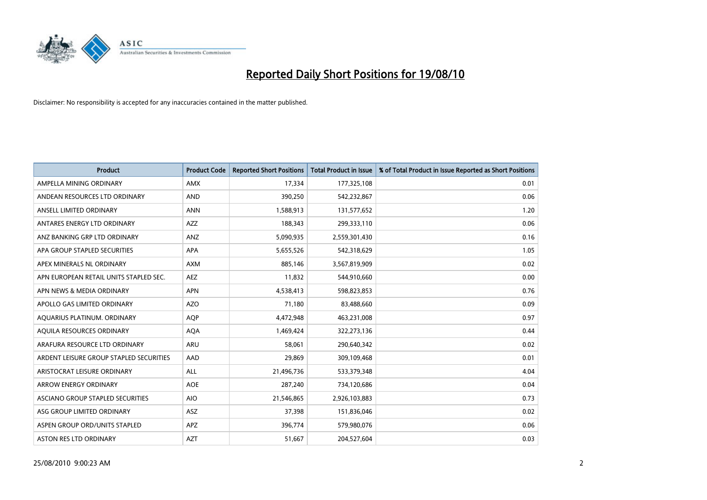

| <b>Product</b>                          | <b>Product Code</b> | <b>Reported Short Positions</b> | Total Product in Issue | % of Total Product in Issue Reported as Short Positions |
|-----------------------------------------|---------------------|---------------------------------|------------------------|---------------------------------------------------------|
| AMPELLA MINING ORDINARY                 | <b>AMX</b>          | 17,334                          | 177,325,108            | 0.01                                                    |
| ANDEAN RESOURCES LTD ORDINARY           | <b>AND</b>          | 390,250                         | 542,232,867            | 0.06                                                    |
| ANSELL LIMITED ORDINARY                 | <b>ANN</b>          | 1,588,913                       | 131,577,652            | 1.20                                                    |
| ANTARES ENERGY LTD ORDINARY             | <b>AZZ</b>          | 188,343                         | 299,333,110            | 0.06                                                    |
| ANZ BANKING GRP LTD ORDINARY            | ANZ                 | 5,090,935                       | 2,559,301,430          | 0.16                                                    |
| APA GROUP STAPLED SECURITIES            | <b>APA</b>          | 5,655,526                       | 542,318,629            | 1.05                                                    |
| APEX MINERALS NL ORDINARY               | <b>AXM</b>          | 885,146                         | 3,567,819,909          | 0.02                                                    |
| APN EUROPEAN RETAIL UNITS STAPLED SEC.  | <b>AEZ</b>          | 11,832                          | 544,910,660            | 0.00                                                    |
| APN NEWS & MEDIA ORDINARY               | <b>APN</b>          | 4,538,413                       | 598,823,853            | 0.76                                                    |
| APOLLO GAS LIMITED ORDINARY             | <b>AZO</b>          | 71,180                          | 83,488,660             | 0.09                                                    |
| AQUARIUS PLATINUM. ORDINARY             | <b>AOP</b>          | 4,472,948                       | 463,231,008            | 0.97                                                    |
| AQUILA RESOURCES ORDINARY               | <b>AQA</b>          | 1,469,424                       | 322,273,136            | 0.44                                                    |
| ARAFURA RESOURCE LTD ORDINARY           | <b>ARU</b>          | 58,061                          | 290,640,342            | 0.02                                                    |
| ARDENT LEISURE GROUP STAPLED SECURITIES | AAD                 | 29,869                          | 309,109,468            | 0.01                                                    |
| ARISTOCRAT LEISURE ORDINARY             | <b>ALL</b>          | 21,496,736                      | 533,379,348            | 4.04                                                    |
| ARROW ENERGY ORDINARY                   | <b>AOE</b>          | 287,240                         | 734,120,686            | 0.04                                                    |
| ASCIANO GROUP STAPLED SECURITIES        | <b>AIO</b>          | 21,546,865                      | 2,926,103,883          | 0.73                                                    |
| ASG GROUP LIMITED ORDINARY              | <b>ASZ</b>          | 37,398                          | 151,836,046            | 0.02                                                    |
| ASPEN GROUP ORD/UNITS STAPLED           | APZ                 | 396,774                         | 579,980,076            | 0.06                                                    |
| ASTON RES LTD ORDINARY                  | <b>AZT</b>          | 51,667                          | 204,527,604            | 0.03                                                    |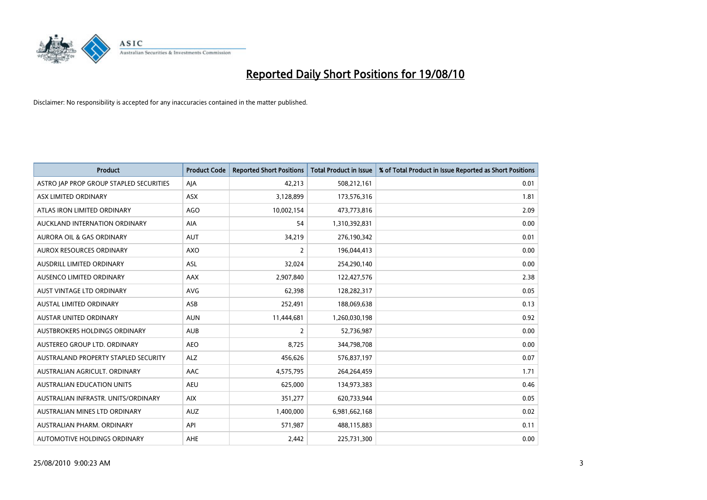

| <b>Product</b>                          | <b>Product Code</b> | <b>Reported Short Positions</b> | <b>Total Product in Issue</b> | % of Total Product in Issue Reported as Short Positions |
|-----------------------------------------|---------------------|---------------------------------|-------------------------------|---------------------------------------------------------|
| ASTRO JAP PROP GROUP STAPLED SECURITIES | AJA                 | 42,213                          | 508,212,161                   | 0.01                                                    |
| ASX LIMITED ORDINARY                    | <b>ASX</b>          | 3,128,899                       | 173,576,316                   | 1.81                                                    |
| ATLAS IRON LIMITED ORDINARY             | <b>AGO</b>          | 10,002,154                      | 473,773,816                   | 2.09                                                    |
| AUCKLAND INTERNATION ORDINARY           | AIA                 | 54                              | 1,310,392,831                 | 0.00                                                    |
| <b>AURORA OIL &amp; GAS ORDINARY</b>    | <b>AUT</b>          | 34,219                          | 276,190,342                   | 0.01                                                    |
| AUROX RESOURCES ORDINARY                | AXO                 | 2                               | 196,044,413                   | 0.00                                                    |
| <b>AUSDRILL LIMITED ORDINARY</b>        | <b>ASL</b>          | 32,024                          | 254,290,140                   | 0.00                                                    |
| AUSENCO LIMITED ORDINARY                | AAX                 | 2,907,840                       | 122,427,576                   | 2.38                                                    |
| AUST VINTAGE LTD ORDINARY               | <b>AVG</b>          | 62,398                          | 128,282,317                   | 0.05                                                    |
| <b>AUSTAL LIMITED ORDINARY</b>          | ASB                 | 252,491                         | 188,069,638                   | 0.13                                                    |
| AUSTAR UNITED ORDINARY                  | <b>AUN</b>          | 11,444,681                      | 1,260,030,198                 | 0.92                                                    |
| <b>AUSTBROKERS HOLDINGS ORDINARY</b>    | <b>AUB</b>          | 2                               | 52,736,987                    | 0.00                                                    |
| AUSTEREO GROUP LTD. ORDINARY            | <b>AEO</b>          | 8,725                           | 344,798,708                   | 0.00                                                    |
| AUSTRALAND PROPERTY STAPLED SECURITY    | <b>ALZ</b>          | 456,626                         | 576,837,197                   | 0.07                                                    |
| AUSTRALIAN AGRICULT, ORDINARY           | AAC                 | 4,575,795                       | 264,264,459                   | 1.71                                                    |
| AUSTRALIAN EDUCATION UNITS              | <b>AEU</b>          | 625,000                         | 134,973,383                   | 0.46                                                    |
| AUSTRALIAN INFRASTR, UNITS/ORDINARY     | <b>AIX</b>          | 351,277                         | 620,733,944                   | 0.05                                                    |
| AUSTRALIAN MINES LTD ORDINARY           | <b>AUZ</b>          | 1,400,000                       | 6,981,662,168                 | 0.02                                                    |
| AUSTRALIAN PHARM, ORDINARY              | API                 | 571,987                         | 488,115,883                   | 0.11                                                    |
| AUTOMOTIVE HOLDINGS ORDINARY            | AHE                 | 2,442                           | 225,731,300                   | 0.00                                                    |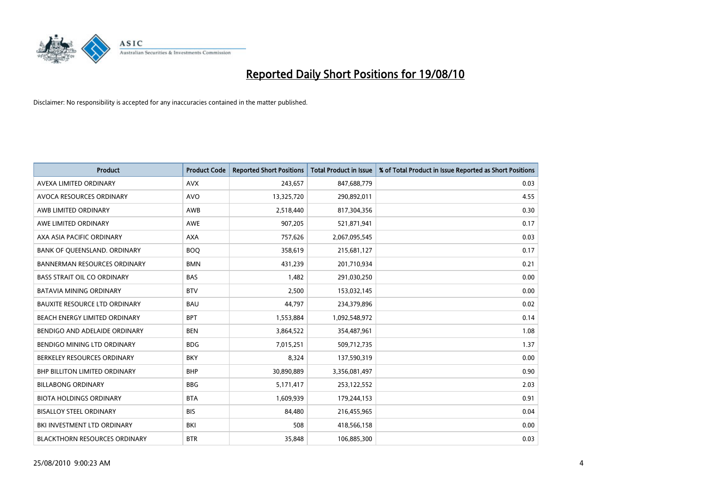

| <b>Product</b>                       | <b>Product Code</b> | <b>Reported Short Positions</b> | <b>Total Product in Issue</b> | % of Total Product in Issue Reported as Short Positions |
|--------------------------------------|---------------------|---------------------------------|-------------------------------|---------------------------------------------------------|
| AVEXA LIMITED ORDINARY               | <b>AVX</b>          | 243,657                         | 847,688,779                   | 0.03                                                    |
| AVOCA RESOURCES ORDINARY             | <b>AVO</b>          | 13,325,720                      | 290,892,011                   | 4.55                                                    |
| AWB LIMITED ORDINARY                 | <b>AWB</b>          | 2,518,440                       | 817,304,356                   | 0.30                                                    |
| AWE LIMITED ORDINARY                 | <b>AWE</b>          | 907,205                         | 521,871,941                   | 0.17                                                    |
| AXA ASIA PACIFIC ORDINARY            | <b>AXA</b>          | 757,626                         | 2,067,095,545                 | 0.03                                                    |
| BANK OF QUEENSLAND. ORDINARY         | <b>BOQ</b>          | 358,619                         | 215,681,127                   | 0.17                                                    |
| <b>BANNERMAN RESOURCES ORDINARY</b>  | <b>BMN</b>          | 431,239                         | 201,710,934                   | 0.21                                                    |
| <b>BASS STRAIT OIL CO ORDINARY</b>   | <b>BAS</b>          | 1,482                           | 291,030,250                   | 0.00                                                    |
| BATAVIA MINING ORDINARY              | <b>BTV</b>          | 2,500                           | 153,032,145                   | 0.00                                                    |
| <b>BAUXITE RESOURCE LTD ORDINARY</b> | <b>BAU</b>          | 44,797                          | 234,379,896                   | 0.02                                                    |
| BEACH ENERGY LIMITED ORDINARY        | <b>BPT</b>          | 1,553,884                       | 1,092,548,972                 | 0.14                                                    |
| BENDIGO AND ADELAIDE ORDINARY        | <b>BEN</b>          | 3,864,522                       | 354,487,961                   | 1.08                                                    |
| BENDIGO MINING LTD ORDINARY          | <b>BDG</b>          | 7,015,251                       | 509,712,735                   | 1.37                                                    |
| BERKELEY RESOURCES ORDINARY          | <b>BKY</b>          | 8,324                           | 137,590,319                   | 0.00                                                    |
| <b>BHP BILLITON LIMITED ORDINARY</b> | <b>BHP</b>          | 30,890,889                      | 3,356,081,497                 | 0.90                                                    |
| <b>BILLABONG ORDINARY</b>            | <b>BBG</b>          | 5,171,417                       | 253,122,552                   | 2.03                                                    |
| <b>BIOTA HOLDINGS ORDINARY</b>       | <b>BTA</b>          | 1,609,939                       | 179,244,153                   | 0.91                                                    |
| <b>BISALLOY STEEL ORDINARY</b>       | <b>BIS</b>          | 84,480                          | 216,455,965                   | 0.04                                                    |
| BKI INVESTMENT LTD ORDINARY          | BKI                 | 508                             | 418,566,158                   | 0.00                                                    |
| <b>BLACKTHORN RESOURCES ORDINARY</b> | <b>BTR</b>          | 35.848                          | 106,885,300                   | 0.03                                                    |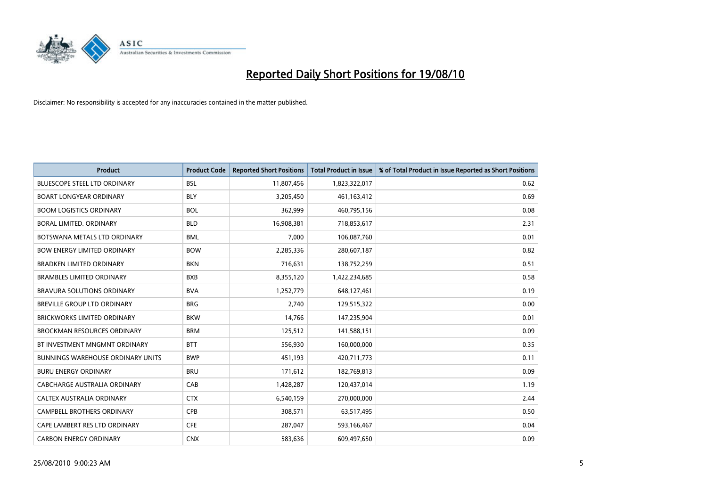

| <b>Product</b>                           | <b>Product Code</b> | <b>Reported Short Positions</b> | <b>Total Product in Issue</b> | % of Total Product in Issue Reported as Short Positions |
|------------------------------------------|---------------------|---------------------------------|-------------------------------|---------------------------------------------------------|
| <b>BLUESCOPE STEEL LTD ORDINARY</b>      | <b>BSL</b>          | 11,807,456                      | 1,823,322,017                 | 0.62                                                    |
| <b>BOART LONGYEAR ORDINARY</b>           | <b>BLY</b>          | 3,205,450                       | 461,163,412                   | 0.69                                                    |
| <b>BOOM LOGISTICS ORDINARY</b>           | <b>BOL</b>          | 362,999                         | 460,795,156                   | 0.08                                                    |
| BORAL LIMITED. ORDINARY                  | <b>BLD</b>          | 16,908,381                      | 718,853,617                   | 2.31                                                    |
| BOTSWANA METALS LTD ORDINARY             | <b>BML</b>          | 7,000                           | 106,087,760                   | 0.01                                                    |
| <b>BOW ENERGY LIMITED ORDINARY</b>       | <b>BOW</b>          | 2,285,336                       | 280,607,187                   | 0.82                                                    |
| <b>BRADKEN LIMITED ORDINARY</b>          | <b>BKN</b>          | 716,631                         | 138,752,259                   | 0.51                                                    |
| <b>BRAMBLES LIMITED ORDINARY</b>         | <b>BXB</b>          | 8,355,120                       | 1,422,234,685                 | 0.58                                                    |
| BRAVURA SOLUTIONS ORDINARY               | <b>BVA</b>          | 1,252,779                       | 648,127,461                   | 0.19                                                    |
| <b>BREVILLE GROUP LTD ORDINARY</b>       | <b>BRG</b>          | 2,740                           | 129,515,322                   | 0.00                                                    |
| <b>BRICKWORKS LIMITED ORDINARY</b>       | <b>BKW</b>          | 14,766                          | 147,235,904                   | 0.01                                                    |
| <b>BROCKMAN RESOURCES ORDINARY</b>       | <b>BRM</b>          | 125,512                         | 141,588,151                   | 0.09                                                    |
| BT INVESTMENT MNGMNT ORDINARY            | <b>BTT</b>          | 556,930                         | 160,000,000                   | 0.35                                                    |
| <b>BUNNINGS WAREHOUSE ORDINARY UNITS</b> | <b>BWP</b>          | 451,193                         | 420,711,773                   | 0.11                                                    |
| <b>BURU ENERGY ORDINARY</b>              | <b>BRU</b>          | 171,612                         | 182,769,813                   | 0.09                                                    |
| CABCHARGE AUSTRALIA ORDINARY             | CAB                 | 1,428,287                       | 120,437,014                   | 1.19                                                    |
| CALTEX AUSTRALIA ORDINARY                | <b>CTX</b>          | 6,540,159                       | 270,000,000                   | 2.44                                                    |
| CAMPBELL BROTHERS ORDINARY               | <b>CPB</b>          | 308,571                         | 63,517,495                    | 0.50                                                    |
| CAPE LAMBERT RES LTD ORDINARY            | <b>CFE</b>          | 287,047                         | 593,166,467                   | 0.04                                                    |
| <b>CARBON ENERGY ORDINARY</b>            | <b>CNX</b>          | 583,636                         | 609,497,650                   | 0.09                                                    |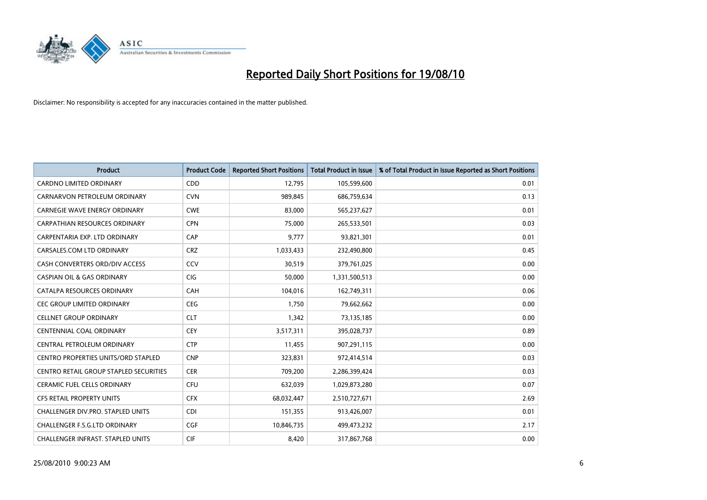

| <b>Product</b>                                | <b>Product Code</b> | <b>Reported Short Positions</b> | Total Product in Issue | % of Total Product in Issue Reported as Short Positions |
|-----------------------------------------------|---------------------|---------------------------------|------------------------|---------------------------------------------------------|
| <b>CARDNO LIMITED ORDINARY</b>                | CDD                 | 12,795                          | 105,599,600            | 0.01                                                    |
| CARNARVON PETROLEUM ORDINARY                  | <b>CVN</b>          | 989,845                         | 686,759,634            | 0.13                                                    |
| <b>CARNEGIE WAVE ENERGY ORDINARY</b>          | <b>CWE</b>          | 83.000                          | 565,237,627            | 0.01                                                    |
| CARPATHIAN RESOURCES ORDINARY                 | <b>CPN</b>          | 75,000                          | 265,533,501            | 0.03                                                    |
| CARPENTARIA EXP. LTD ORDINARY                 | CAP                 | 9,777                           | 93,821,301             | 0.01                                                    |
| CARSALES.COM LTD ORDINARY                     | <b>CRZ</b>          | 1,033,433                       | 232,490,800            | 0.45                                                    |
| CASH CONVERTERS ORD/DIV ACCESS                | CCV                 | 30,519                          | 379,761,025            | 0.00                                                    |
| <b>CASPIAN OIL &amp; GAS ORDINARY</b>         | CIG                 | 50,000                          | 1,331,500,513          | 0.00                                                    |
| CATALPA RESOURCES ORDINARY                    | CAH                 | 104,016                         | 162,749,311            | 0.06                                                    |
| <b>CEC GROUP LIMITED ORDINARY</b>             | CEG                 | 1,750                           | 79,662,662             | 0.00                                                    |
| <b>CELLNET GROUP ORDINARY</b>                 | <b>CLT</b>          | 1,342                           | 73,135,185             | 0.00                                                    |
| <b>CENTENNIAL COAL ORDINARY</b>               | <b>CEY</b>          | 3,517,311                       | 395,028,737            | 0.89                                                    |
| CENTRAL PETROLEUM ORDINARY                    | <b>CTP</b>          | 11,455                          | 907,291,115            | 0.00                                                    |
| CENTRO PROPERTIES UNITS/ORD STAPLED           | <b>CNP</b>          | 323,831                         | 972,414,514            | 0.03                                                    |
| <b>CENTRO RETAIL GROUP STAPLED SECURITIES</b> | <b>CER</b>          | 709,200                         | 2,286,399,424          | 0.03                                                    |
| CERAMIC FUEL CELLS ORDINARY                   | <b>CFU</b>          | 632,039                         | 1,029,873,280          | 0.07                                                    |
| CFS RETAIL PROPERTY UNITS                     | <b>CFX</b>          | 68,032,447                      | 2,510,727,671          | 2.69                                                    |
| CHALLENGER DIV.PRO. STAPLED UNITS             | <b>CDI</b>          | 151,355                         | 913,426,007            | 0.01                                                    |
| <b>CHALLENGER F.S.G.LTD ORDINARY</b>          | <b>CGF</b>          | 10,846,735                      | 499,473,232            | 2.17                                                    |
| CHALLENGER INFRAST. STAPLED UNITS             | <b>CIF</b>          | 8,420                           | 317,867,768            | 0.00                                                    |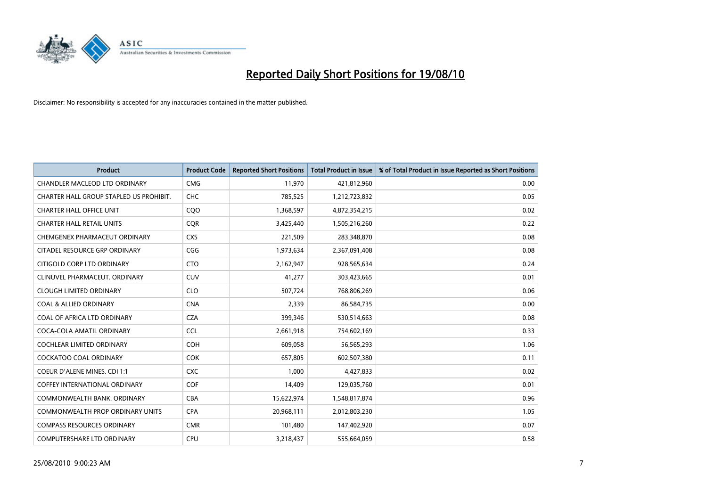

| <b>Product</b>                          | <b>Product Code</b> | <b>Reported Short Positions</b> | <b>Total Product in Issue</b> | % of Total Product in Issue Reported as Short Positions |
|-----------------------------------------|---------------------|---------------------------------|-------------------------------|---------------------------------------------------------|
| <b>CHANDLER MACLEOD LTD ORDINARY</b>    | <b>CMG</b>          | 11,970                          | 421,812,960                   | 0.00                                                    |
| CHARTER HALL GROUP STAPLED US PROHIBIT. | <b>CHC</b>          | 785,525                         | 1,212,723,832                 | 0.05                                                    |
| <b>CHARTER HALL OFFICE UNIT</b>         | CQO                 | 1,368,597                       | 4,872,354,215                 | 0.02                                                    |
| <b>CHARTER HALL RETAIL UNITS</b>        | <b>COR</b>          | 3,425,440                       | 1,505,216,260                 | 0.22                                                    |
| CHEMGENEX PHARMACEUT ORDINARY           | <b>CXS</b>          | 221,509                         | 283,348,870                   | 0.08                                                    |
| CITADEL RESOURCE GRP ORDINARY           | CGG                 | 1,973,634                       | 2,367,091,408                 | 0.08                                                    |
| CITIGOLD CORP LTD ORDINARY              | <b>CTO</b>          | 2,162,947                       | 928,565,634                   | 0.24                                                    |
| CLINUVEL PHARMACEUT. ORDINARY           | <b>CUV</b>          | 41,277                          | 303,423,665                   | 0.01                                                    |
| <b>CLOUGH LIMITED ORDINARY</b>          | <b>CLO</b>          | 507,724                         | 768,806,269                   | 0.06                                                    |
| <b>COAL &amp; ALLIED ORDINARY</b>       | <b>CNA</b>          | 2,339                           | 86,584,735                    | 0.00                                                    |
| COAL OF AFRICA LTD ORDINARY             | <b>CZA</b>          | 399,346                         | 530,514,663                   | 0.08                                                    |
| COCA-COLA AMATIL ORDINARY               | <b>CCL</b>          | 2,661,918                       | 754,602,169                   | 0.33                                                    |
| <b>COCHLEAR LIMITED ORDINARY</b>        | <b>COH</b>          | 609,058                         | 56,565,293                    | 1.06                                                    |
| <b>COCKATOO COAL ORDINARY</b>           | <b>COK</b>          | 657,805                         | 602,507,380                   | 0.11                                                    |
| <b>COEUR D'ALENE MINES. CDI 1:1</b>     | <b>CXC</b>          | 1,000                           | 4,427,833                     | 0.02                                                    |
| COFFEY INTERNATIONAL ORDINARY           | COF                 | 14,409                          | 129,035,760                   | 0.01                                                    |
| COMMONWEALTH BANK, ORDINARY             | <b>CBA</b>          | 15,622,974                      | 1,548,817,874                 | 0.96                                                    |
| COMMONWEALTH PROP ORDINARY UNITS        | <b>CPA</b>          | 20,968,111                      | 2,012,803,230                 | 1.05                                                    |
| <b>COMPASS RESOURCES ORDINARY</b>       | <b>CMR</b>          | 101,480                         | 147,402,920                   | 0.07                                                    |
| <b>COMPUTERSHARE LTD ORDINARY</b>       | <b>CPU</b>          | 3,218,437                       | 555,664,059                   | 0.58                                                    |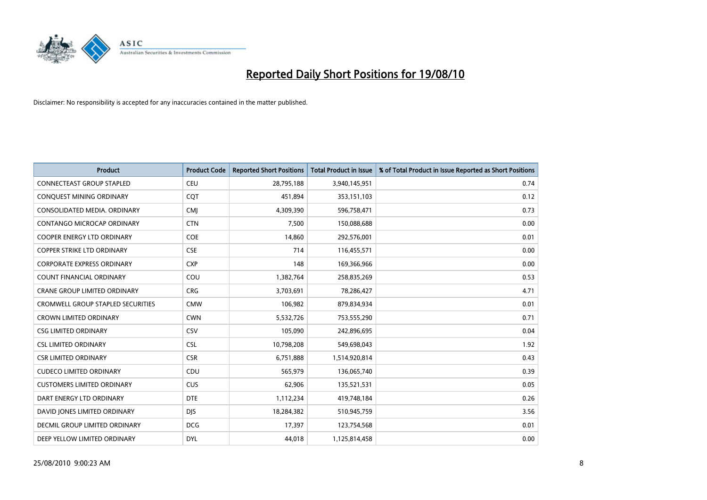

| <b>Product</b>                           | <b>Product Code</b> | <b>Reported Short Positions</b> | <b>Total Product in Issue</b> | % of Total Product in Issue Reported as Short Positions |
|------------------------------------------|---------------------|---------------------------------|-------------------------------|---------------------------------------------------------|
| <b>CONNECTEAST GROUP STAPLED</b>         | <b>CEU</b>          | 28,795,188                      | 3,940,145,951                 | 0.74                                                    |
| CONQUEST MINING ORDINARY                 | COT                 | 451,894                         | 353,151,103                   | 0.12                                                    |
| CONSOLIDATED MEDIA, ORDINARY             | <b>CMI</b>          | 4,309,390                       | 596,758,471                   | 0.73                                                    |
| CONTANGO MICROCAP ORDINARY               | <b>CTN</b>          | 7,500                           | 150,088,688                   | 0.00                                                    |
| <b>COOPER ENERGY LTD ORDINARY</b>        | <b>COE</b>          | 14,860                          | 292,576,001                   | 0.01                                                    |
| COPPER STRIKE LTD ORDINARY               | <b>CSE</b>          | 714                             | 116,455,571                   | 0.00                                                    |
| <b>CORPORATE EXPRESS ORDINARY</b>        | <b>CXP</b>          | 148                             | 169,366,966                   | 0.00                                                    |
| <b>COUNT FINANCIAL ORDINARY</b>          | COU                 | 1,382,764                       | 258,835,269                   | 0.53                                                    |
| CRANE GROUP LIMITED ORDINARY             | <b>CRG</b>          | 3,703,691                       | 78,286,427                    | 4.71                                                    |
| <b>CROMWELL GROUP STAPLED SECURITIES</b> | <b>CMW</b>          | 106,982                         | 879,834,934                   | 0.01                                                    |
| <b>CROWN LIMITED ORDINARY</b>            | <b>CWN</b>          | 5,532,726                       | 753,555,290                   | 0.71                                                    |
| <b>CSG LIMITED ORDINARY</b>              | CSV                 | 105,090                         | 242,896,695                   | 0.04                                                    |
| <b>CSL LIMITED ORDINARY</b>              | <b>CSL</b>          | 10,798,208                      | 549,698,043                   | 1.92                                                    |
| <b>CSR LIMITED ORDINARY</b>              | <b>CSR</b>          | 6,751,888                       | 1,514,920,814                 | 0.43                                                    |
| <b>CUDECO LIMITED ORDINARY</b>           | CDU                 | 565,979                         | 136,065,740                   | 0.39                                                    |
| <b>CUSTOMERS LIMITED ORDINARY</b>        | <b>CUS</b>          | 62,906                          | 135,521,531                   | 0.05                                                    |
| DART ENERGY LTD ORDINARY                 | <b>DTE</b>          | 1,112,234                       | 419,748,184                   | 0.26                                                    |
| DAVID JONES LIMITED ORDINARY             | DJS.                | 18,284,382                      | 510,945,759                   | 3.56                                                    |
| DECMIL GROUP LIMITED ORDINARY            | <b>DCG</b>          | 17,397                          | 123,754,568                   | 0.01                                                    |
| DEEP YELLOW LIMITED ORDINARY             | <b>DYL</b>          | 44.018                          | 1,125,814,458                 | 0.00                                                    |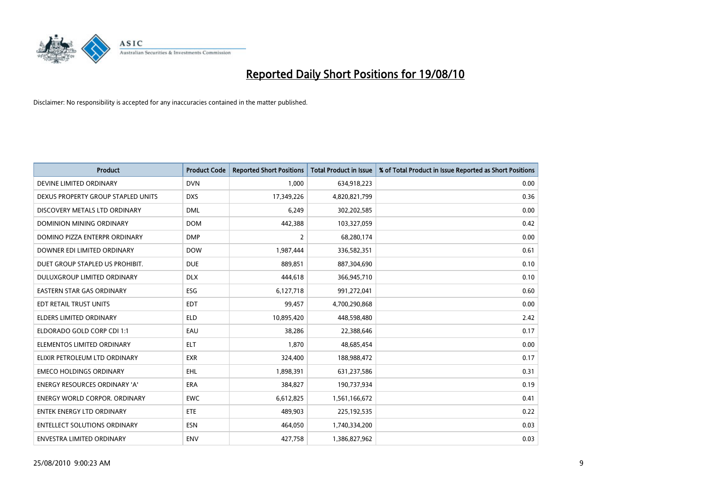

| <b>Product</b>                       | <b>Product Code</b> | <b>Reported Short Positions</b> | <b>Total Product in Issue</b> | % of Total Product in Issue Reported as Short Positions |
|--------------------------------------|---------------------|---------------------------------|-------------------------------|---------------------------------------------------------|
| DEVINE LIMITED ORDINARY              | <b>DVN</b>          | 1,000                           | 634,918,223                   | 0.00                                                    |
| DEXUS PROPERTY GROUP STAPLED UNITS   | <b>DXS</b>          | 17,349,226                      | 4,820,821,799                 | 0.36                                                    |
| DISCOVERY METALS LTD ORDINARY        | <b>DML</b>          | 6,249                           | 302,202,585                   | 0.00                                                    |
| DOMINION MINING ORDINARY             | <b>DOM</b>          | 442,388                         | 103,327,059                   | 0.42                                                    |
| DOMINO PIZZA ENTERPR ORDINARY        | <b>DMP</b>          | $\overline{2}$                  | 68,280,174                    | 0.00                                                    |
| DOWNER EDI LIMITED ORDINARY          | <b>DOW</b>          | 1,987,444                       | 336,582,351                   | 0.61                                                    |
| DUET GROUP STAPLED US PROHIBIT.      | <b>DUE</b>          | 889.851                         | 887,304,690                   | 0.10                                                    |
| DULUXGROUP LIMITED ORDINARY          | <b>DLX</b>          | 444,618                         | 366,945,710                   | 0.10                                                    |
| <b>EASTERN STAR GAS ORDINARY</b>     | ESG                 | 6,127,718                       | 991,272,041                   | 0.60                                                    |
| EDT RETAIL TRUST UNITS               | <b>EDT</b>          | 99,457                          | 4,700,290,868                 | 0.00                                                    |
| <b>ELDERS LIMITED ORDINARY</b>       | <b>ELD</b>          | 10,895,420                      | 448,598,480                   | 2.42                                                    |
| ELDORADO GOLD CORP CDI 1:1           | EAU                 | 38,286                          | 22,388,646                    | 0.17                                                    |
| ELEMENTOS LIMITED ORDINARY           | <b>ELT</b>          | 1.870                           | 48,685,454                    | 0.00                                                    |
| ELIXIR PETROLEUM LTD ORDINARY        | <b>EXR</b>          | 324,400                         | 188,988,472                   | 0.17                                                    |
| <b>EMECO HOLDINGS ORDINARY</b>       | <b>EHL</b>          | 1,898,391                       | 631,237,586                   | 0.31                                                    |
| <b>ENERGY RESOURCES ORDINARY 'A'</b> | <b>ERA</b>          | 384,827                         | 190,737,934                   | 0.19                                                    |
| ENERGY WORLD CORPOR, ORDINARY        | <b>EWC</b>          | 6,612,825                       | 1,561,166,672                 | 0.41                                                    |
| <b>ENTEK ENERGY LTD ORDINARY</b>     | <b>ETE</b>          | 489,903                         | 225,192,535                   | 0.22                                                    |
| <b>ENTELLECT SOLUTIONS ORDINARY</b>  | <b>ESN</b>          | 464,050                         | 1,740,334,200                 | 0.03                                                    |
| ENVESTRA LIMITED ORDINARY            | <b>ENV</b>          | 427.758                         | 1,386,827,962                 | 0.03                                                    |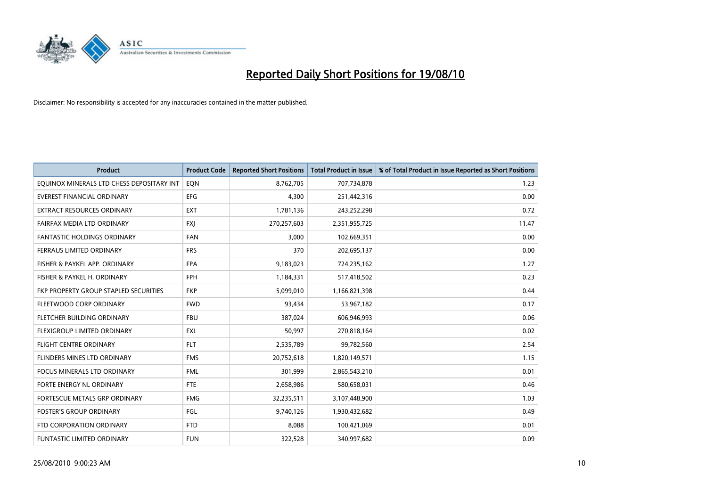

| <b>Product</b>                            | <b>Product Code</b> | <b>Reported Short Positions</b> | <b>Total Product in Issue</b> | % of Total Product in Issue Reported as Short Positions |
|-------------------------------------------|---------------------|---------------------------------|-------------------------------|---------------------------------------------------------|
| EQUINOX MINERALS LTD CHESS DEPOSITARY INT | EON                 | 8,762,705                       | 707,734,878                   | 1.23                                                    |
| EVEREST FINANCIAL ORDINARY                | <b>EFG</b>          | 4,300                           | 251,442,316                   | 0.00                                                    |
| <b>EXTRACT RESOURCES ORDINARY</b>         | <b>EXT</b>          | 1,781,136                       | 243,252,298                   | 0.72                                                    |
| FAIRFAX MEDIA LTD ORDINARY                | <b>FXJ</b>          | 270,257,603                     | 2,351,955,725                 | 11.47                                                   |
| <b>FANTASTIC HOLDINGS ORDINARY</b>        | <b>FAN</b>          | 3,000                           | 102,669,351                   | 0.00                                                    |
| FERRAUS LIMITED ORDINARY                  | <b>FRS</b>          | 370                             | 202,695,137                   | 0.00                                                    |
| FISHER & PAYKEL APP. ORDINARY             | <b>FPA</b>          | 9,183,023                       | 724,235,162                   | 1.27                                                    |
| FISHER & PAYKEL H. ORDINARY               | <b>FPH</b>          | 1,184,331                       | 517,418,502                   | 0.23                                                    |
| FKP PROPERTY GROUP STAPLED SECURITIES     | <b>FKP</b>          | 5,099,010                       | 1,166,821,398                 | 0.44                                                    |
| FLEETWOOD CORP ORDINARY                   | <b>FWD</b>          | 93,434                          | 53,967,182                    | 0.17                                                    |
| FLETCHER BUILDING ORDINARY                | <b>FBU</b>          | 387,024                         | 606,946,993                   | 0.06                                                    |
| FLEXIGROUP LIMITED ORDINARY               | <b>FXL</b>          | 50,997                          | 270,818,164                   | 0.02                                                    |
| FLIGHT CENTRE ORDINARY                    | <b>FLT</b>          | 2,535,789                       | 99,782,560                    | 2.54                                                    |
| FLINDERS MINES LTD ORDINARY               | <b>FMS</b>          | 20,752,618                      | 1,820,149,571                 | 1.15                                                    |
| <b>FOCUS MINERALS LTD ORDINARY</b>        | <b>FML</b>          | 301,999                         | 2,865,543,210                 | 0.01                                                    |
| FORTE ENERGY NL ORDINARY                  | <b>FTE</b>          | 2,658,986                       | 580,658,031                   | 0.46                                                    |
| FORTESCUE METALS GRP ORDINARY             | <b>FMG</b>          | 32,235,511                      | 3,107,448,900                 | 1.03                                                    |
| <b>FOSTER'S GROUP ORDINARY</b>            | FGL                 | 9,740,126                       | 1,930,432,682                 | 0.49                                                    |
| FTD CORPORATION ORDINARY                  | <b>FTD</b>          | 8,088                           | 100,421,069                   | 0.01                                                    |
| FUNTASTIC LIMITED ORDINARY                | <b>FUN</b>          | 322,528                         | 340,997,682                   | 0.09                                                    |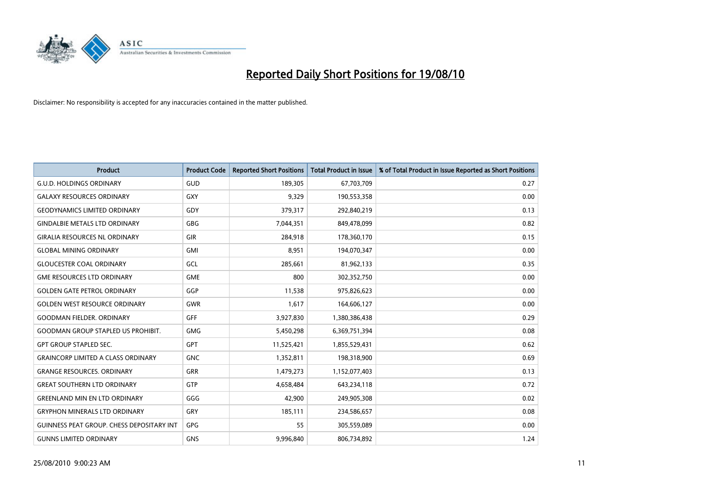

| <b>Product</b>                                   | <b>Product Code</b> | <b>Reported Short Positions</b> | Total Product in Issue | % of Total Product in Issue Reported as Short Positions |
|--------------------------------------------------|---------------------|---------------------------------|------------------------|---------------------------------------------------------|
| <b>G.U.D. HOLDINGS ORDINARY</b>                  | <b>GUD</b>          | 189,305                         | 67,703,709             | 0.27                                                    |
| <b>GALAXY RESOURCES ORDINARY</b>                 | <b>GXY</b>          | 9,329                           | 190,553,358            | 0.00                                                    |
| <b>GEODYNAMICS LIMITED ORDINARY</b>              | GDY                 | 379,317                         | 292,840,219            | 0.13                                                    |
| <b>GINDALBIE METALS LTD ORDINARY</b>             | <b>GBG</b>          | 7,044,351                       | 849,478,099            | 0.82                                                    |
| <b>GIRALIA RESOURCES NL ORDINARY</b>             | <b>GIR</b>          | 284,918                         | 178,360,170            | 0.15                                                    |
| <b>GLOBAL MINING ORDINARY</b>                    | <b>GMI</b>          | 8,951                           | 194,070,347            | 0.00                                                    |
| <b>GLOUCESTER COAL ORDINARY</b>                  | <b>GCL</b>          | 285,661                         | 81,962,133             | 0.35                                                    |
| <b>GME RESOURCES LTD ORDINARY</b>                | <b>GME</b>          | 800                             | 302,352,750            | 0.00                                                    |
| <b>GOLDEN GATE PETROL ORDINARY</b>               | GGP                 | 11,538                          | 975,826,623            | 0.00                                                    |
| <b>GOLDEN WEST RESOURCE ORDINARY</b>             | <b>GWR</b>          | 1,617                           | 164,606,127            | 0.00                                                    |
| <b>GOODMAN FIELDER. ORDINARY</b>                 | <b>GFF</b>          | 3,927,830                       | 1,380,386,438          | 0.29                                                    |
| <b>GOODMAN GROUP STAPLED US PROHIBIT.</b>        | <b>GMG</b>          | 5,450,298                       | 6,369,751,394          | 0.08                                                    |
| <b>GPT GROUP STAPLED SEC.</b>                    | <b>GPT</b>          | 11,525,421                      | 1,855,529,431          | 0.62                                                    |
| <b>GRAINCORP LIMITED A CLASS ORDINARY</b>        | <b>GNC</b>          | 1,352,811                       | 198,318,900            | 0.69                                                    |
| <b>GRANGE RESOURCES, ORDINARY</b>                | <b>GRR</b>          | 1,479,273                       | 1,152,077,403          | 0.13                                                    |
| <b>GREAT SOUTHERN LTD ORDINARY</b>               | <b>GTP</b>          | 4,658,484                       | 643,234,118            | 0.72                                                    |
| <b>GREENLAND MIN EN LTD ORDINARY</b>             | GGG                 | 42,900                          | 249,905,308            | 0.02                                                    |
| <b>GRYPHON MINERALS LTD ORDINARY</b>             | GRY                 | 185,111                         | 234,586,657            | 0.08                                                    |
| <b>GUINNESS PEAT GROUP. CHESS DEPOSITARY INT</b> | GPG                 | 55                              | 305,559,089            | 0.00                                                    |
| <b>GUNNS LIMITED ORDINARY</b>                    | <b>GNS</b>          | 9,996,840                       | 806,734,892            | 1.24                                                    |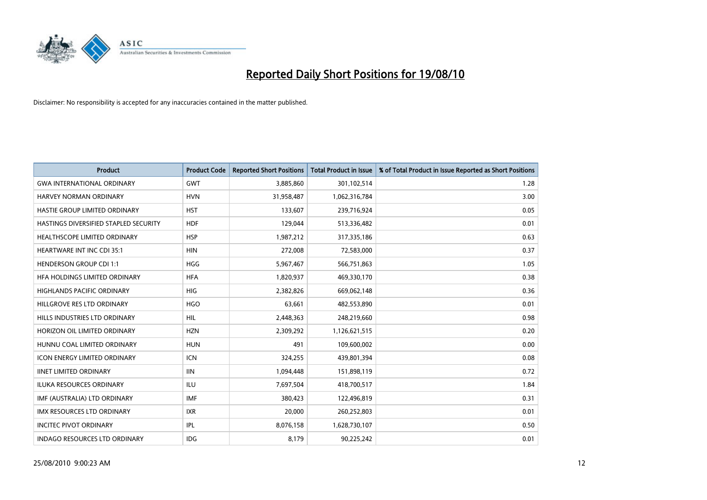

| <b>Product</b>                        | <b>Product Code</b> | <b>Reported Short Positions</b> | <b>Total Product in Issue</b> | % of Total Product in Issue Reported as Short Positions |
|---------------------------------------|---------------------|---------------------------------|-------------------------------|---------------------------------------------------------|
| <b>GWA INTERNATIONAL ORDINARY</b>     | <b>GWT</b>          | 3,885,860                       | 301,102,514                   | 1.28                                                    |
| HARVEY NORMAN ORDINARY                | <b>HVN</b>          | 31,958,487                      | 1,062,316,784                 | 3.00                                                    |
| HASTIE GROUP LIMITED ORDINARY         | <b>HST</b>          | 133,607                         | 239,716,924                   | 0.05                                                    |
| HASTINGS DIVERSIFIED STAPLED SECURITY | <b>HDF</b>          | 129,044                         | 513,336,482                   | 0.01                                                    |
| HEALTHSCOPE LIMITED ORDINARY          | <b>HSP</b>          | 1,987,212                       | 317,335,186                   | 0.63                                                    |
| <b>HEARTWARE INT INC CDI 35:1</b>     | <b>HIN</b>          | 272,008                         | 72,583,000                    | 0.37                                                    |
| <b>HENDERSON GROUP CDI 1:1</b>        | <b>HGG</b>          | 5,967,467                       | 566,751,863                   | 1.05                                                    |
| HFA HOLDINGS LIMITED ORDINARY         | <b>HFA</b>          | 1,820,937                       | 469,330,170                   | 0.38                                                    |
| HIGHLANDS PACIFIC ORDINARY            | <b>HIG</b>          | 2,382,826                       | 669,062,148                   | 0.36                                                    |
| HILLGROVE RES LTD ORDINARY            | <b>HGO</b>          | 63,661                          | 482,553,890                   | 0.01                                                    |
| HILLS INDUSTRIES LTD ORDINARY         | <b>HIL</b>          | 2,448,363                       | 248,219,660                   | 0.98                                                    |
| HORIZON OIL LIMITED ORDINARY          | <b>HZN</b>          | 2,309,292                       | 1,126,621,515                 | 0.20                                                    |
| HUNNU COAL LIMITED ORDINARY           | <b>HUN</b>          | 491                             | 109,600,002                   | 0.00                                                    |
| <b>ICON ENERGY LIMITED ORDINARY</b>   | <b>ICN</b>          | 324,255                         | 439,801,394                   | 0.08                                                    |
| <b>IINET LIMITED ORDINARY</b>         | <b>IIN</b>          | 1,094,448                       | 151,898,119                   | 0.72                                                    |
| ILUKA RESOURCES ORDINARY              | ILU                 | 7,697,504                       | 418,700,517                   | 1.84                                                    |
| IMF (AUSTRALIA) LTD ORDINARY          | <b>IMF</b>          | 380,423                         | 122,496,819                   | 0.31                                                    |
| IMX RESOURCES LTD ORDINARY            | <b>IXR</b>          | 20,000                          | 260,252,803                   | 0.01                                                    |
| <b>INCITEC PIVOT ORDINARY</b>         | IPL                 | 8,076,158                       | 1,628,730,107                 | 0.50                                                    |
| <b>INDAGO RESOURCES LTD ORDINARY</b>  | <b>IDG</b>          | 8,179                           | 90,225,242                    | 0.01                                                    |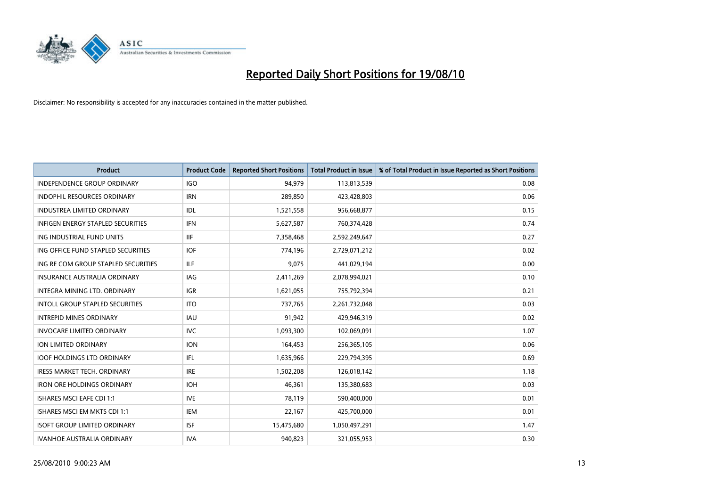

| <b>Product</b>                         | <b>Product Code</b> | <b>Reported Short Positions</b> | <b>Total Product in Issue</b> | % of Total Product in Issue Reported as Short Positions |
|----------------------------------------|---------------------|---------------------------------|-------------------------------|---------------------------------------------------------|
| <b>INDEPENDENCE GROUP ORDINARY</b>     | <b>IGO</b>          | 94,979                          | 113,813,539                   | 0.08                                                    |
| <b>INDOPHIL RESOURCES ORDINARY</b>     | <b>IRN</b>          | 289,850                         | 423,428,803                   | 0.06                                                    |
| <b>INDUSTREA LIMITED ORDINARY</b>      | IDL                 | 1,521,558                       | 956,668,877                   | 0.15                                                    |
| INFIGEN ENERGY STAPLED SECURITIES      | <b>IFN</b>          | 5,627,587                       | 760,374,428                   | 0.74                                                    |
| ING INDUSTRIAL FUND UNITS              | <b>IIF</b>          | 7,358,468                       | 2,592,249,647                 | 0.27                                                    |
| ING OFFICE FUND STAPLED SECURITIES     | <b>IOF</b>          | 774,196                         | 2,729,071,212                 | 0.02                                                    |
| ING RE COM GROUP STAPLED SECURITIES    | <b>ILF</b>          | 9.075                           | 441,029,194                   | 0.00                                                    |
| <b>INSURANCE AUSTRALIA ORDINARY</b>    | IAG                 | 2,411,269                       | 2,078,994,021                 | 0.10                                                    |
| INTEGRA MINING LTD. ORDINARY           | <b>IGR</b>          | 1,621,055                       | 755,792,394                   | 0.21                                                    |
| <b>INTOLL GROUP STAPLED SECURITIES</b> | <b>ITO</b>          | 737,765                         | 2,261,732,048                 | 0.03                                                    |
| <b>INTREPID MINES ORDINARY</b>         | <b>IAU</b>          | 91,942                          | 429,946,319                   | 0.02                                                    |
| <b>INVOCARE LIMITED ORDINARY</b>       | <b>IVC</b>          | 1,093,300                       | 102,069,091                   | 1.07                                                    |
| ION LIMITED ORDINARY                   | <b>ION</b>          | 164,453                         | 256,365,105                   | 0.06                                                    |
| <b>IOOF HOLDINGS LTD ORDINARY</b>      | <b>IFL</b>          | 1,635,966                       | 229,794,395                   | 0.69                                                    |
| <b>IRESS MARKET TECH. ORDINARY</b>     | <b>IRE</b>          | 1,502,208                       | 126,018,142                   | 1.18                                                    |
| <b>IRON ORE HOLDINGS ORDINARY</b>      | <b>IOH</b>          | 46,361                          | 135,380,683                   | 0.03                                                    |
| <b>ISHARES MSCI EAFE CDI 1:1</b>       | <b>IVE</b>          | 78,119                          | 590,400,000                   | 0.01                                                    |
| ISHARES MSCI EM MKTS CDI 1:1           | <b>IEM</b>          | 22,167                          | 425,700,000                   | 0.01                                                    |
| <b>ISOFT GROUP LIMITED ORDINARY</b>    | <b>ISF</b>          | 15,475,680                      | 1,050,497,291                 | 1.47                                                    |
| <b>IVANHOE AUSTRALIA ORDINARY</b>      | <b>IVA</b>          | 940.823                         | 321,055,953                   | 0.30                                                    |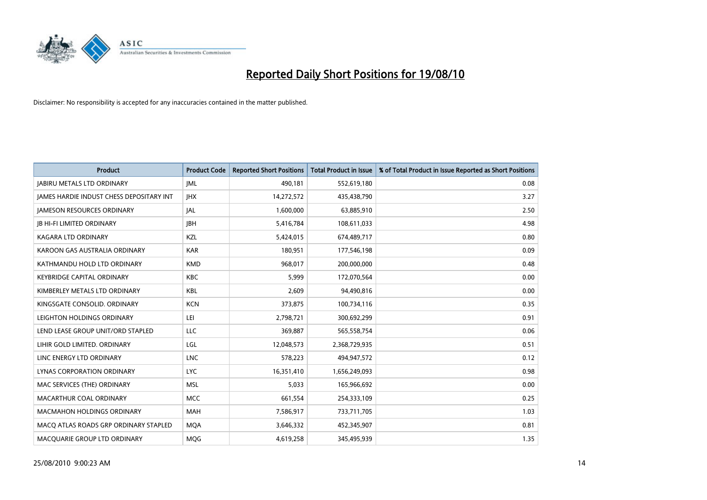

| <b>Product</b>                                  | <b>Product Code</b> | <b>Reported Short Positions</b> | <b>Total Product in Issue</b> | % of Total Product in Issue Reported as Short Positions |
|-------------------------------------------------|---------------------|---------------------------------|-------------------------------|---------------------------------------------------------|
| <b>JABIRU METALS LTD ORDINARY</b>               | <b>JML</b>          | 490,181                         | 552,619,180                   | 0.08                                                    |
| <b>JAMES HARDIE INDUST CHESS DEPOSITARY INT</b> | <b>IHX</b>          | 14,272,572                      | 435,438,790                   | 3.27                                                    |
| <b>JAMESON RESOURCES ORDINARY</b>               | <b>JAL</b>          | 1,600,000                       | 63,885,910                    | 2.50                                                    |
| <b>JB HI-FI LIMITED ORDINARY</b>                | <b>IBH</b>          | 5,416,784                       | 108,611,033                   | 4.98                                                    |
| <b>KAGARA LTD ORDINARY</b>                      | KZL                 | 5,424,015                       | 674,489,717                   | 0.80                                                    |
| KAROON GAS AUSTRALIA ORDINARY                   | <b>KAR</b>          | 180,951                         | 177,546,198                   | 0.09                                                    |
| KATHMANDU HOLD LTD ORDINARY                     | <b>KMD</b>          | 968,017                         | 200,000,000                   | 0.48                                                    |
| <b>KEYBRIDGE CAPITAL ORDINARY</b>               | <b>KBC</b>          | 5,999                           | 172,070,564                   | 0.00                                                    |
| KIMBERLEY METALS LTD ORDINARY                   | KBL                 | 2,609                           | 94,490,816                    | 0.00                                                    |
| KINGSGATE CONSOLID, ORDINARY                    | <b>KCN</b>          | 373,875                         | 100,734,116                   | 0.35                                                    |
| LEIGHTON HOLDINGS ORDINARY                      | LEI                 | 2,798,721                       | 300,692,299                   | 0.91                                                    |
| LEND LEASE GROUP UNIT/ORD STAPLED               | LLC                 | 369,887                         | 565,558,754                   | 0.06                                                    |
| LIHIR GOLD LIMITED. ORDINARY                    | LGL                 | 12,048,573                      | 2,368,729,935                 | 0.51                                                    |
| LINC ENERGY LTD ORDINARY                        | <b>LNC</b>          | 578,223                         | 494,947,572                   | 0.12                                                    |
| LYNAS CORPORATION ORDINARY                      | <b>LYC</b>          | 16,351,410                      | 1,656,249,093                 | 0.98                                                    |
| MAC SERVICES (THE) ORDINARY                     | <b>MSL</b>          | 5.033                           | 165,966,692                   | 0.00                                                    |
| MACARTHUR COAL ORDINARY                         | <b>MCC</b>          | 661,554                         | 254,333,109                   | 0.25                                                    |
| <b>MACMAHON HOLDINGS ORDINARY</b>               | <b>MAH</b>          | 7,586,917                       | 733,711,705                   | 1.03                                                    |
| MACO ATLAS ROADS GRP ORDINARY STAPLED           | <b>MOA</b>          | 3,646,332                       | 452,345,907                   | 0.81                                                    |
| MACQUARIE GROUP LTD ORDINARY                    | <b>MOG</b>          | 4,619,258                       | 345,495,939                   | 1.35                                                    |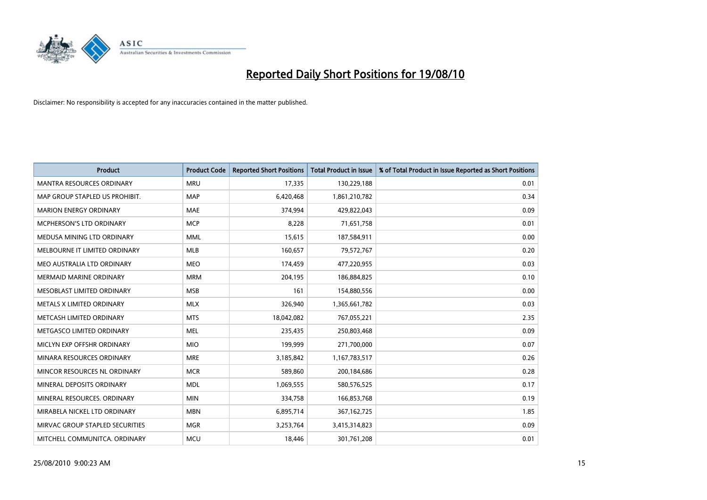

| <b>Product</b>                   | <b>Product Code</b> | <b>Reported Short Positions</b> | <b>Total Product in Issue</b> | % of Total Product in Issue Reported as Short Positions |
|----------------------------------|---------------------|---------------------------------|-------------------------------|---------------------------------------------------------|
| <b>MANTRA RESOURCES ORDINARY</b> | <b>MRU</b>          | 17,335                          | 130,229,188                   | 0.01                                                    |
| MAP GROUP STAPLED US PROHIBIT.   | <b>MAP</b>          | 6,420,468                       | 1,861,210,782                 | 0.34                                                    |
| <b>MARION ENERGY ORDINARY</b>    | <b>MAE</b>          | 374.994                         | 429,822,043                   | 0.09                                                    |
| MCPHERSON'S LTD ORDINARY         | <b>MCP</b>          | 8,228                           | 71,651,758                    | 0.01                                                    |
| MEDUSA MINING LTD ORDINARY       | <b>MML</b>          | 15,615                          | 187,584,911                   | 0.00                                                    |
| MELBOURNE IT LIMITED ORDINARY    | <b>MLB</b>          | 160,657                         | 79,572,767                    | 0.20                                                    |
| MEO AUSTRALIA LTD ORDINARY       | <b>MEO</b>          | 174,459                         | 477,220,955                   | 0.03                                                    |
| <b>MERMAID MARINE ORDINARY</b>   | <b>MRM</b>          | 204,195                         | 186,884,825                   | 0.10                                                    |
| MESOBLAST LIMITED ORDINARY       | <b>MSB</b>          | 161                             | 154,880,556                   | 0.00                                                    |
| METALS X LIMITED ORDINARY        | <b>MLX</b>          | 326,940                         | 1,365,661,782                 | 0.03                                                    |
| METCASH LIMITED ORDINARY         | <b>MTS</b>          | 18,042,082                      | 767,055,221                   | 2.35                                                    |
| METGASCO LIMITED ORDINARY        | <b>MEL</b>          | 235,435                         | 250,803,468                   | 0.09                                                    |
| MICLYN EXP OFFSHR ORDINARY       | <b>MIO</b>          | 199,999                         | 271,700,000                   | 0.07                                                    |
| MINARA RESOURCES ORDINARY        | <b>MRE</b>          | 3,185,842                       | 1,167,783,517                 | 0.26                                                    |
| MINCOR RESOURCES NL ORDINARY     | <b>MCR</b>          | 589,860                         | 200,184,686                   | 0.28                                                    |
| MINERAL DEPOSITS ORDINARY        | <b>MDL</b>          | 1,069,555                       | 580,576,525                   | 0.17                                                    |
| MINERAL RESOURCES. ORDINARY      | <b>MIN</b>          | 334,758                         | 166,853,768                   | 0.19                                                    |
| MIRABELA NICKEL LTD ORDINARY     | <b>MBN</b>          | 6,895,714                       | 367, 162, 725                 | 1.85                                                    |
| MIRVAC GROUP STAPLED SECURITIES  | <b>MGR</b>          | 3,253,764                       | 3,415,314,823                 | 0.09                                                    |
| MITCHELL COMMUNITCA. ORDINARY    | <b>MCU</b>          | 18,446                          | 301,761,208                   | 0.01                                                    |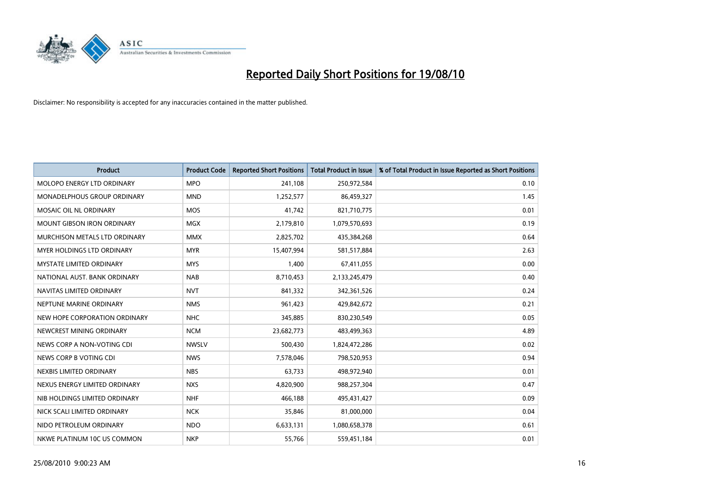

| <b>Product</b>                    | <b>Product Code</b> | <b>Reported Short Positions</b> | Total Product in Issue | % of Total Product in Issue Reported as Short Positions |
|-----------------------------------|---------------------|---------------------------------|------------------------|---------------------------------------------------------|
| MOLOPO ENERGY LTD ORDINARY        | <b>MPO</b>          | 241,108                         | 250,972,584            | 0.10                                                    |
| MONADELPHOUS GROUP ORDINARY       | <b>MND</b>          | 1,252,577                       | 86,459,327             | 1.45                                                    |
| MOSAIC OIL NL ORDINARY            | <b>MOS</b>          | 41,742                          | 821,710,775            | 0.01                                                    |
| <b>MOUNT GIBSON IRON ORDINARY</b> | <b>MGX</b>          | 2,179,810                       | 1,079,570,693          | 0.19                                                    |
| MURCHISON METALS LTD ORDINARY     | <b>MMX</b>          | 2,825,702                       | 435,384,268            | 0.64                                                    |
| MYER HOLDINGS LTD ORDINARY        | <b>MYR</b>          | 15,407,994                      | 581,517,884            | 2.63                                                    |
| <b>MYSTATE LIMITED ORDINARY</b>   | <b>MYS</b>          | 1,400                           | 67,411,055             | 0.00                                                    |
| NATIONAL AUST. BANK ORDINARY      | <b>NAB</b>          | 8,710,453                       | 2,133,245,479          | 0.40                                                    |
| NAVITAS LIMITED ORDINARY          | <b>NVT</b>          | 841,332                         | 342,361,526            | 0.24                                                    |
| NEPTUNE MARINE ORDINARY           | <b>NMS</b>          | 961,423                         | 429,842,672            | 0.21                                                    |
| NEW HOPE CORPORATION ORDINARY     | <b>NHC</b>          | 345,885                         | 830,230,549            | 0.05                                                    |
| NEWCREST MINING ORDINARY          | <b>NCM</b>          | 23,682,773                      | 483,499,363            | 4.89                                                    |
| NEWS CORP A NON-VOTING CDI        | <b>NWSLV</b>        | 500,430                         | 1,824,472,286          | 0.02                                                    |
| NEWS CORP B VOTING CDI            | <b>NWS</b>          | 7,578,046                       | 798,520,953            | 0.94                                                    |
| NEXBIS LIMITED ORDINARY           | <b>NBS</b>          | 63,733                          | 498,972,940            | 0.01                                                    |
| NEXUS ENERGY LIMITED ORDINARY     | <b>NXS</b>          | 4,820,900                       | 988,257,304            | 0.47                                                    |
| NIB HOLDINGS LIMITED ORDINARY     | <b>NHF</b>          | 466,188                         | 495,431,427            | 0.09                                                    |
| NICK SCALI LIMITED ORDINARY       | <b>NCK</b>          | 35,846                          | 81,000,000             | 0.04                                                    |
| NIDO PETROLEUM ORDINARY           | <b>NDO</b>          | 6,633,131                       | 1,080,658,378          | 0.61                                                    |
| NKWE PLATINUM 10C US COMMON       | <b>NKP</b>          | 55,766                          | 559,451,184            | 0.01                                                    |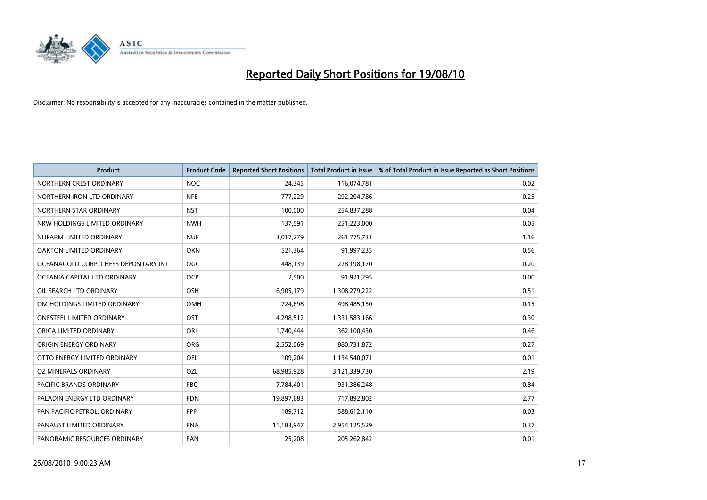

| <b>Product</b>                        | <b>Product Code</b> | <b>Reported Short Positions</b> | Total Product in Issue | % of Total Product in Issue Reported as Short Positions |
|---------------------------------------|---------------------|---------------------------------|------------------------|---------------------------------------------------------|
| NORTHERN CREST ORDINARY               | <b>NOC</b>          | 24,345                          | 116,074,781            | 0.02                                                    |
| NORTHERN IRON LTD ORDINARY            | <b>NFE</b>          | 777,229                         | 292,204,786            | 0.25                                                    |
| NORTHERN STAR ORDINARY                | <b>NST</b>          | 100,000                         | 254,837,288            | 0.04                                                    |
| NRW HOLDINGS LIMITED ORDINARY         | <b>NWH</b>          | 137,591                         | 251,223,000            | 0.05                                                    |
| NUFARM LIMITED ORDINARY               | <b>NUF</b>          | 3,017,279                       | 261,775,731            | 1.16                                                    |
| OAKTON LIMITED ORDINARY               | <b>OKN</b>          | 521,364                         | 91,997,235             | 0.56                                                    |
| OCEANAGOLD CORP. CHESS DEPOSITARY INT | <b>OGC</b>          | 448,139                         | 228,198,170            | 0.20                                                    |
| OCEANIA CAPITAL LTD ORDINARY          | <b>OCP</b>          | 2,500                           | 91,921,295             | 0.00                                                    |
| OIL SEARCH LTD ORDINARY               | OSH                 | 6,905,179                       | 1,308,279,222          | 0.51                                                    |
| OM HOLDINGS LIMITED ORDINARY          | OMH                 | 724,698                         | 498,485,150            | 0.15                                                    |
| ONESTEEL LIMITED ORDINARY             | OST                 | 4,298,512                       | 1,331,583,166          | 0.30                                                    |
| ORICA LIMITED ORDINARY                | ORI                 | 1,740,444                       | 362,100,430            | 0.46                                                    |
| ORIGIN ENERGY ORDINARY                | <b>ORG</b>          | 2,552,069                       | 880,731,872            | 0.27                                                    |
| OTTO ENERGY LIMITED ORDINARY          | OEL                 | 109,204                         | 1,134,540,071          | 0.01                                                    |
| OZ MINERALS ORDINARY                  | OZL                 | 68,985,928                      | 3,121,339,730          | 2.19                                                    |
| PACIFIC BRANDS ORDINARY               | <b>PBG</b>          | 7,784,401                       | 931,386,248            | 0.84                                                    |
| PALADIN ENERGY LTD ORDINARY           | PDN                 | 19,897,683                      | 717,892,802            | 2.77                                                    |
| PAN PACIFIC PETROL. ORDINARY          | PPP                 | 189,712                         | 588,612,110            | 0.03                                                    |
| PANAUST LIMITED ORDINARY              | <b>PNA</b>          | 11,183,947                      | 2,954,125,529          | 0.37                                                    |
| PANORAMIC RESOURCES ORDINARY          | PAN                 | 25,208                          | 205,262,842            | 0.01                                                    |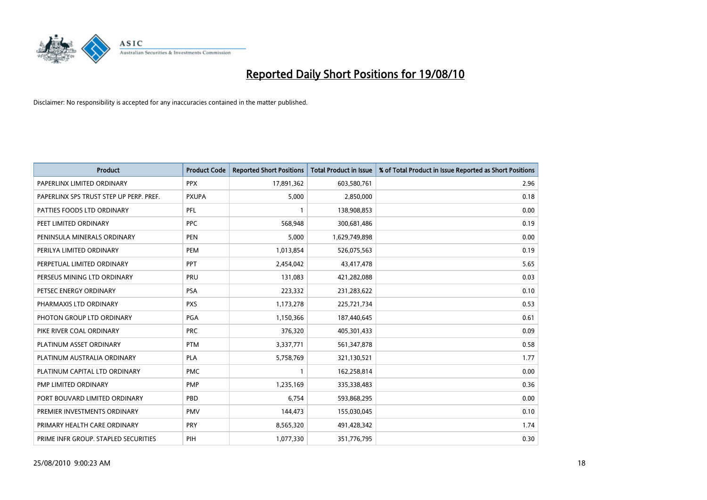

| <b>Product</b>                          | <b>Product Code</b> | <b>Reported Short Positions</b> | <b>Total Product in Issue</b> | % of Total Product in Issue Reported as Short Positions |
|-----------------------------------------|---------------------|---------------------------------|-------------------------------|---------------------------------------------------------|
| PAPERLINX LIMITED ORDINARY              | <b>PPX</b>          | 17,891,362                      | 603,580,761                   | 2.96                                                    |
| PAPERLINX SPS TRUST STEP UP PERP. PREF. | <b>PXUPA</b>        | 5,000                           | 2,850,000                     | 0.18                                                    |
| PATTIES FOODS LTD ORDINARY              | PFL                 |                                 | 138,908,853                   | 0.00                                                    |
| PEET LIMITED ORDINARY                   | <b>PPC</b>          | 568,948                         | 300,681,486                   | 0.19                                                    |
| PENINSULA MINERALS ORDINARY             | <b>PEN</b>          | 5,000                           | 1,629,749,898                 | 0.00                                                    |
| PERILYA LIMITED ORDINARY                | PEM                 | 1,013,854                       | 526,075,563                   | 0.19                                                    |
| PERPETUAL LIMITED ORDINARY              | PPT                 | 2,454,042                       | 43,417,478                    | 5.65                                                    |
| PERSEUS MINING LTD ORDINARY             | PRU                 | 131,083                         | 421,282,088                   | 0.03                                                    |
| PETSEC ENERGY ORDINARY                  | <b>PSA</b>          | 223,332                         | 231,283,622                   | 0.10                                                    |
| PHARMAXIS LTD ORDINARY                  | <b>PXS</b>          | 1,173,278                       | 225,721,734                   | 0.53                                                    |
| PHOTON GROUP LTD ORDINARY               | PGA                 | 1,150,366                       | 187,440,645                   | 0.61                                                    |
| PIKE RIVER COAL ORDINARY                | <b>PRC</b>          | 376,320                         | 405,301,433                   | 0.09                                                    |
| PLATINUM ASSET ORDINARY                 | <b>PTM</b>          | 3,337,771                       | 561,347,878                   | 0.58                                                    |
| PLATINUM AUSTRALIA ORDINARY             | <b>PLA</b>          | 5,758,769                       | 321,130,521                   | 1.77                                                    |
| PLATINUM CAPITAL LTD ORDINARY           | <b>PMC</b>          |                                 | 162,258,814                   | 0.00                                                    |
| PMP LIMITED ORDINARY                    | <b>PMP</b>          | 1,235,169                       | 335,338,483                   | 0.36                                                    |
| PORT BOUVARD LIMITED ORDINARY           | PBD                 | 6,754                           | 593,868,295                   | 0.00                                                    |
| PREMIER INVESTMENTS ORDINARY            | <b>PMV</b>          | 144,473                         | 155,030,045                   | 0.10                                                    |
| PRIMARY HEALTH CARE ORDINARY            | <b>PRY</b>          | 8,565,320                       | 491,428,342                   | 1.74                                                    |
| PRIME INFR GROUP. STAPLED SECURITIES    | PIH                 | 1,077,330                       | 351,776,795                   | 0.30                                                    |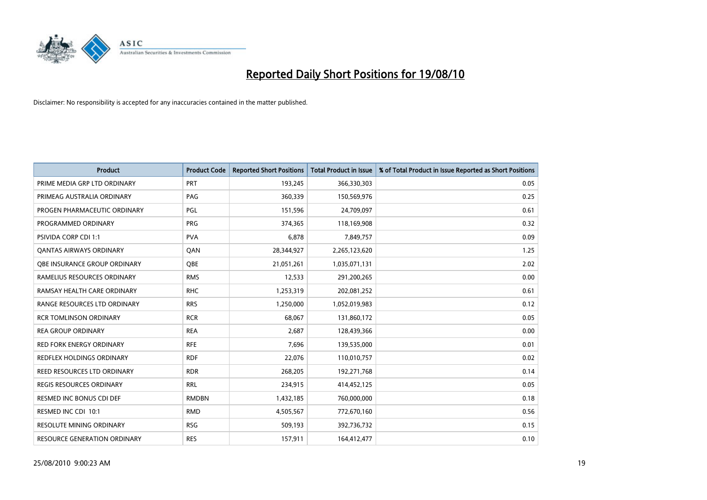

| <b>Product</b>                  | <b>Product Code</b> | <b>Reported Short Positions</b> | Total Product in Issue | % of Total Product in Issue Reported as Short Positions |
|---------------------------------|---------------------|---------------------------------|------------------------|---------------------------------------------------------|
| PRIME MEDIA GRP LTD ORDINARY    | PRT                 | 193,245                         | 366,330,303            | 0.05                                                    |
| PRIMEAG AUSTRALIA ORDINARY      | PAG                 | 360,339                         | 150,569,976            | 0.25                                                    |
| PROGEN PHARMACEUTIC ORDINARY    | PGL                 | 151,596                         | 24,709,097             | 0.61                                                    |
| PROGRAMMED ORDINARY             | <b>PRG</b>          | 374,365                         | 118,169,908            | 0.32                                                    |
| <b>PSIVIDA CORP CDI 1:1</b>     | <b>PVA</b>          | 6,878                           | 7,849,757              | 0.09                                                    |
| <b>QANTAS AIRWAYS ORDINARY</b>  | QAN                 | 28,344,927                      | 2,265,123,620          | 1.25                                                    |
| OBE INSURANCE GROUP ORDINARY    | <b>OBE</b>          | 21,051,261                      | 1,035,071,131          | 2.02                                                    |
| RAMELIUS RESOURCES ORDINARY     | <b>RMS</b>          | 12,533                          | 291,200,265            | 0.00                                                    |
| RAMSAY HEALTH CARE ORDINARY     | <b>RHC</b>          | 1,253,319                       | 202,081,252            | 0.61                                                    |
| RANGE RESOURCES LTD ORDINARY    | <b>RRS</b>          | 1,250,000                       | 1,052,019,983          | 0.12                                                    |
| <b>RCR TOMLINSON ORDINARY</b>   | <b>RCR</b>          | 68,067                          | 131,860,172            | 0.05                                                    |
| <b>REA GROUP ORDINARY</b>       | <b>REA</b>          | 2,687                           | 128,439,366            | 0.00                                                    |
| RED FORK ENERGY ORDINARY        | <b>RFE</b>          | 7,696                           | 139,535,000            | 0.01                                                    |
| REDFLEX HOLDINGS ORDINARY       | <b>RDF</b>          | 22,076                          | 110,010,757            | 0.02                                                    |
| REED RESOURCES LTD ORDINARY     | <b>RDR</b>          | 268,205                         | 192,271,768            | 0.14                                                    |
| REGIS RESOURCES ORDINARY        | <b>RRL</b>          | 234,915                         | 414,452,125            | 0.05                                                    |
| RESMED INC BONUS CDI DEF        | <b>RMDBN</b>        | 1,432,185                       | 760,000,000            | 0.18                                                    |
| RESMED INC CDI 10:1             | <b>RMD</b>          | 4,505,567                       | 772,670,160            | 0.56                                                    |
| <b>RESOLUTE MINING ORDINARY</b> | <b>RSG</b>          | 509,193                         | 392,736,732            | 0.15                                                    |
| RESOURCE GENERATION ORDINARY    | <b>RES</b>          | 157,911                         | 164,412,477            | 0.10                                                    |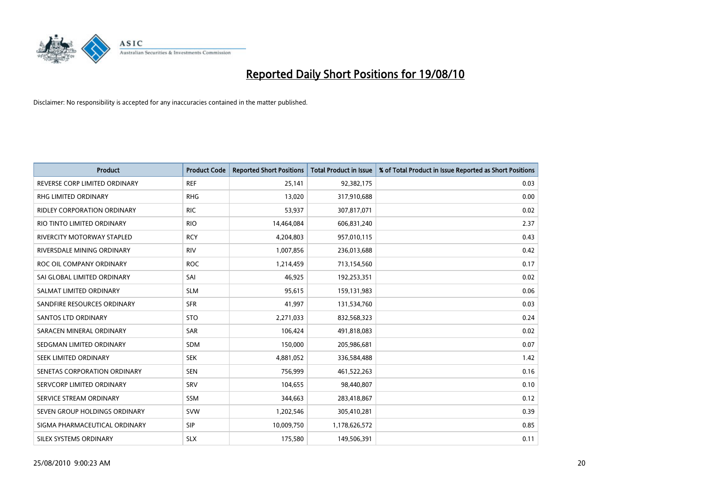

| <b>Product</b>                | <b>Product Code</b> | <b>Reported Short Positions</b> | <b>Total Product in Issue</b> | % of Total Product in Issue Reported as Short Positions |
|-------------------------------|---------------------|---------------------------------|-------------------------------|---------------------------------------------------------|
| REVERSE CORP LIMITED ORDINARY | <b>REF</b>          | 25,141                          | 92,382,175                    | 0.03                                                    |
| RHG LIMITED ORDINARY          | <b>RHG</b>          | 13,020                          | 317,910,688                   | 0.00                                                    |
| RIDLEY CORPORATION ORDINARY   | <b>RIC</b>          | 53.937                          | 307,817,071                   | 0.02                                                    |
| RIO TINTO LIMITED ORDINARY    | <b>RIO</b>          | 14,464,084                      | 606,831,240                   | 2.37                                                    |
| RIVERCITY MOTORWAY STAPLED    | <b>RCY</b>          | 4,204,803                       | 957,010,115                   | 0.43                                                    |
| RIVERSDALE MINING ORDINARY    | <b>RIV</b>          | 1,007,856                       | 236,013,688                   | 0.42                                                    |
| ROC OIL COMPANY ORDINARY      | <b>ROC</b>          | 1,214,459                       | 713,154,560                   | 0.17                                                    |
| SAI GLOBAL LIMITED ORDINARY   | SAI                 | 46,925                          | 192,253,351                   | 0.02                                                    |
| SALMAT LIMITED ORDINARY       | <b>SLM</b>          | 95,615                          | 159,131,983                   | 0.06                                                    |
| SANDFIRE RESOURCES ORDINARY   | <b>SFR</b>          | 41,997                          | 131,534,760                   | 0.03                                                    |
| <b>SANTOS LTD ORDINARY</b>    | <b>STO</b>          | 2,271,033                       | 832,568,323                   | 0.24                                                    |
| SARACEN MINERAL ORDINARY      | <b>SAR</b>          | 106,424                         | 491,818,083                   | 0.02                                                    |
| SEDGMAN LIMITED ORDINARY      | <b>SDM</b>          | 150,000                         | 205,986,681                   | 0.07                                                    |
| SEEK LIMITED ORDINARY         | <b>SEK</b>          | 4,881,052                       | 336,584,488                   | 1.42                                                    |
| SENETAS CORPORATION ORDINARY  | <b>SEN</b>          | 756,999                         | 461,522,263                   | 0.16                                                    |
| SERVCORP LIMITED ORDINARY     | SRV                 | 104,655                         | 98,440,807                    | 0.10                                                    |
| SERVICE STREAM ORDINARY       | <b>SSM</b>          | 344,663                         | 283,418,867                   | 0.12                                                    |
| SEVEN GROUP HOLDINGS ORDINARY | <b>SVW</b>          | 1,202,546                       | 305,410,281                   | 0.39                                                    |
| SIGMA PHARMACEUTICAL ORDINARY | <b>SIP</b>          | 10,009,750                      | 1,178,626,572                 | 0.85                                                    |
| SILEX SYSTEMS ORDINARY        | <b>SLX</b>          | 175,580                         | 149,506,391                   | 0.11                                                    |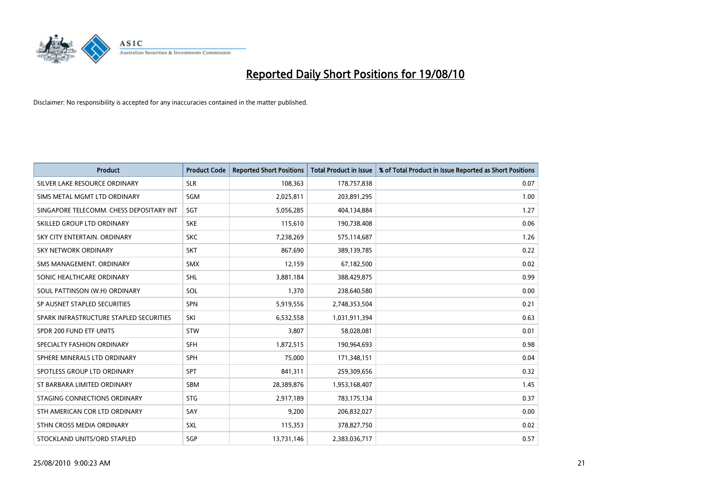

| <b>Product</b>                           | <b>Product Code</b> | <b>Reported Short Positions</b> | Total Product in Issue | % of Total Product in Issue Reported as Short Positions |
|------------------------------------------|---------------------|---------------------------------|------------------------|---------------------------------------------------------|
| SILVER LAKE RESOURCE ORDINARY            | <b>SLR</b>          | 108,363                         | 178,757,838            | 0.07                                                    |
| SIMS METAL MGMT LTD ORDINARY             | SGM                 | 2,025,811                       | 203,891,295            | 1.00                                                    |
| SINGAPORE TELECOMM. CHESS DEPOSITARY INT | SGT                 | 5,056,285                       | 404,134,884            | 1.27                                                    |
| SKILLED GROUP LTD ORDINARY               | <b>SKE</b>          | 115,610                         | 190,738,408            | 0.06                                                    |
| SKY CITY ENTERTAIN, ORDINARY             | <b>SKC</b>          | 7,238,269                       | 575,114,687            | 1.26                                                    |
| <b>SKY NETWORK ORDINARY</b>              | <b>SKT</b>          | 867,690                         | 389,139,785            | 0.22                                                    |
| SMS MANAGEMENT, ORDINARY                 | <b>SMX</b>          | 12,159                          | 67,182,500             | 0.02                                                    |
| SONIC HEALTHCARE ORDINARY                | <b>SHL</b>          | 3,881,184                       | 388,429,875            | 0.99                                                    |
| SOUL PATTINSON (W.H) ORDINARY            | SOL                 | 1,370                           | 238,640,580            | 0.00                                                    |
| SP AUSNET STAPLED SECURITIES             | <b>SPN</b>          | 5,919,556                       | 2,748,353,504          | 0.21                                                    |
| SPARK INFRASTRUCTURE STAPLED SECURITIES  | SKI                 | 6,532,558                       | 1,031,911,394          | 0.63                                                    |
| SPDR 200 FUND ETF UNITS                  | STW                 | 3,807                           | 58,028,081             | 0.01                                                    |
| SPECIALTY FASHION ORDINARY               | <b>SFH</b>          | 1,872,515                       | 190,964,693            | 0.98                                                    |
| SPHERE MINERALS LTD ORDINARY             | <b>SPH</b>          | 75,000                          | 171,348,151            | 0.04                                                    |
| SPOTLESS GROUP LTD ORDINARY              | <b>SPT</b>          | 841,311                         | 259,309,656            | 0.32                                                    |
| ST BARBARA LIMITED ORDINARY              | <b>SBM</b>          | 28,389,876                      | 1,953,168,407          | 1.45                                                    |
| STAGING CONNECTIONS ORDINARY             | <b>STG</b>          | 2,917,189                       | 783,175,134            | 0.37                                                    |
| STH AMERICAN COR LTD ORDINARY            | SAY                 | 9,200                           | 206,832,027            | 0.00                                                    |
| STHN CROSS MEDIA ORDINARY                | SXL                 | 115,353                         | 378,827,750            | 0.02                                                    |
| STOCKLAND UNITS/ORD STAPLED              | SGP                 | 13,731,146                      | 2,383,036,717          | 0.57                                                    |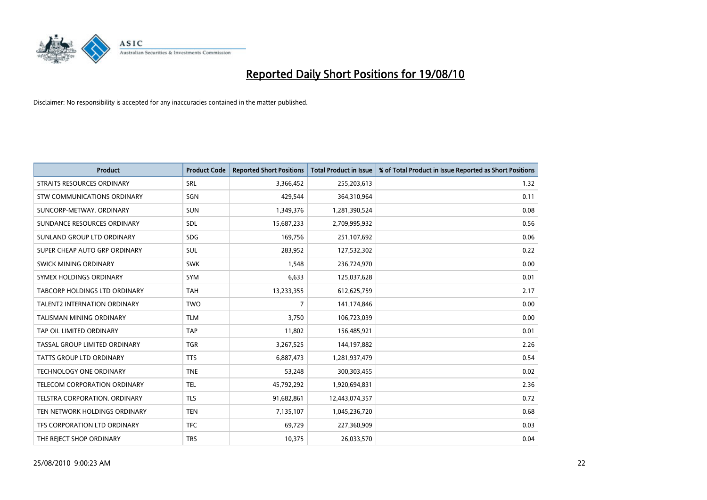

| <b>Product</b>                      | <b>Product Code</b> | <b>Reported Short Positions</b> | <b>Total Product in Issue</b> | % of Total Product in Issue Reported as Short Positions |
|-------------------------------------|---------------------|---------------------------------|-------------------------------|---------------------------------------------------------|
| STRAITS RESOURCES ORDINARY          | SRL                 | 3,366,452                       | 255,203,613                   | 1.32                                                    |
| STW COMMUNICATIONS ORDINARY         | <b>SGN</b>          | 429,544                         | 364,310,964                   | 0.11                                                    |
| SUNCORP-METWAY, ORDINARY            | <b>SUN</b>          | 1,349,376                       | 1,281,390,524                 | 0.08                                                    |
| SUNDANCE RESOURCES ORDINARY         | <b>SDL</b>          | 15,687,233                      | 2,709,995,932                 | 0.56                                                    |
| SUNLAND GROUP LTD ORDINARY          | <b>SDG</b>          | 169,756                         | 251,107,692                   | 0.06                                                    |
| SUPER CHEAP AUTO GRP ORDINARY       | <b>SUL</b>          | 283,952                         | 127,532,302                   | 0.22                                                    |
| SWICK MINING ORDINARY               | <b>SWK</b>          | 1,548                           | 236,724,970                   | 0.00                                                    |
| SYMEX HOLDINGS ORDINARY             | <b>SYM</b>          | 6,633                           | 125,037,628                   | 0.01                                                    |
| TABCORP HOLDINGS LTD ORDINARY       | <b>TAH</b>          | 13,233,355                      | 612,625,759                   | 2.17                                                    |
| <b>TALENT2 INTERNATION ORDINARY</b> | <b>TWO</b>          | $\overline{7}$                  | 141,174,846                   | 0.00                                                    |
| TALISMAN MINING ORDINARY            | <b>TLM</b>          | 3,750                           | 106,723,039                   | 0.00                                                    |
| TAP OIL LIMITED ORDINARY            | <b>TAP</b>          | 11,802                          | 156,485,921                   | 0.01                                                    |
| TASSAL GROUP LIMITED ORDINARY       | <b>TGR</b>          | 3,267,525                       | 144,197,882                   | 2.26                                                    |
| TATTS GROUP LTD ORDINARY            | <b>TTS</b>          | 6,887,473                       | 1,281,937,479                 | 0.54                                                    |
| <b>TECHNOLOGY ONE ORDINARY</b>      | <b>TNE</b>          | 53,248                          | 300,303,455                   | 0.02                                                    |
| TELECOM CORPORATION ORDINARY        | <b>TEL</b>          | 45,792,292                      | 1,920,694,831                 | 2.36                                                    |
| TELSTRA CORPORATION. ORDINARY       | <b>TLS</b>          | 91,682,861                      | 12,443,074,357                | 0.72                                                    |
| TEN NETWORK HOLDINGS ORDINARY       | <b>TEN</b>          | 7,135,107                       | 1,045,236,720                 | 0.68                                                    |
| TFS CORPORATION LTD ORDINARY        | <b>TFC</b>          | 69,729                          | 227,360,909                   | 0.03                                                    |
| THE REJECT SHOP ORDINARY            | <b>TRS</b>          | 10,375                          | 26,033,570                    | 0.04                                                    |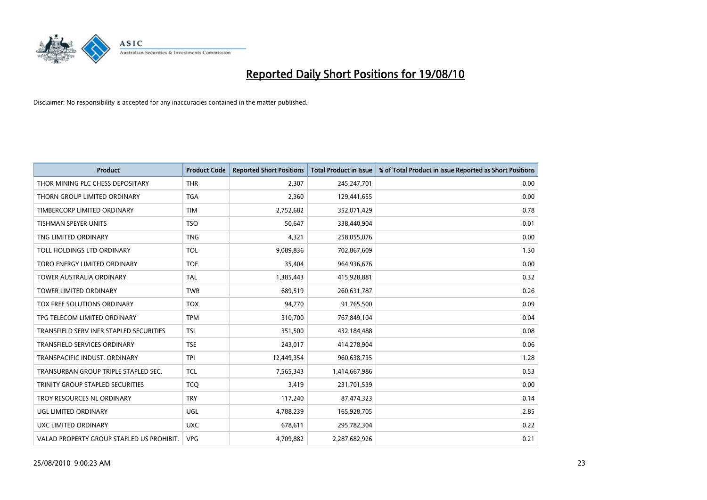

| <b>Product</b>                            | <b>Product Code</b> | <b>Reported Short Positions</b> | Total Product in Issue | % of Total Product in Issue Reported as Short Positions |
|-------------------------------------------|---------------------|---------------------------------|------------------------|---------------------------------------------------------|
| THOR MINING PLC CHESS DEPOSITARY          | <b>THR</b>          | 2,307                           | 245,247,701            | 0.00                                                    |
| THORN GROUP LIMITED ORDINARY              | <b>TGA</b>          | 2,360                           | 129,441,655            | 0.00                                                    |
| TIMBERCORP LIMITED ORDINARY               | <b>TIM</b>          | 2,752,682                       | 352,071,429            | 0.78                                                    |
| TISHMAN SPEYER UNITS                      | <b>TSO</b>          | 50,647                          | 338,440,904            | 0.01                                                    |
| TNG LIMITED ORDINARY                      | <b>TNG</b>          | 4,321                           | 258,055,076            | 0.00                                                    |
| TOLL HOLDINGS LTD ORDINARY                | <b>TOL</b>          | 9,089,836                       | 702,867,609            | 1.30                                                    |
| TORO ENERGY LIMITED ORDINARY              | <b>TOE</b>          | 35,404                          | 964,936,676            | 0.00                                                    |
| <b>TOWER AUSTRALIA ORDINARY</b>           | <b>TAL</b>          | 1,385,443                       | 415,928,881            | 0.32                                                    |
| TOWER LIMITED ORDINARY                    | <b>TWR</b>          | 689,519                         | 260,631,787            | 0.26                                                    |
| TOX FREE SOLUTIONS ORDINARY               | <b>TOX</b>          | 94,770                          | 91,765,500             | 0.09                                                    |
| TPG TELECOM LIMITED ORDINARY              | <b>TPM</b>          | 310,700                         | 767,849,104            | 0.04                                                    |
| TRANSFIELD SERV INFR STAPLED SECURITIES   | <b>TSI</b>          | 351,500                         | 432,184,488            | 0.08                                                    |
| TRANSFIELD SERVICES ORDINARY              | <b>TSE</b>          | 243,017                         | 414,278,904            | 0.06                                                    |
| TRANSPACIFIC INDUST, ORDINARY             | <b>TPI</b>          | 12,449,354                      | 960,638,735            | 1.28                                                    |
| TRANSURBAN GROUP TRIPLE STAPLED SEC.      | <b>TCL</b>          | 7,565,343                       | 1,414,667,986          | 0.53                                                    |
| TRINITY GROUP STAPLED SECURITIES          | <b>TCO</b>          | 3,419                           | 231,701,539            | 0.00                                                    |
| TROY RESOURCES NL ORDINARY                | <b>TRY</b>          | 117,240                         | 87,474,323             | 0.14                                                    |
| UGL LIMITED ORDINARY                      | UGL                 | 4,788,239                       | 165,928,705            | 2.85                                                    |
| <b>UXC LIMITED ORDINARY</b>               | <b>UXC</b>          | 678,611                         | 295,782,304            | 0.22                                                    |
| VALAD PROPERTY GROUP STAPLED US PROHIBIT. | <b>VPG</b>          | 4,709,882                       | 2,287,682,926          | 0.21                                                    |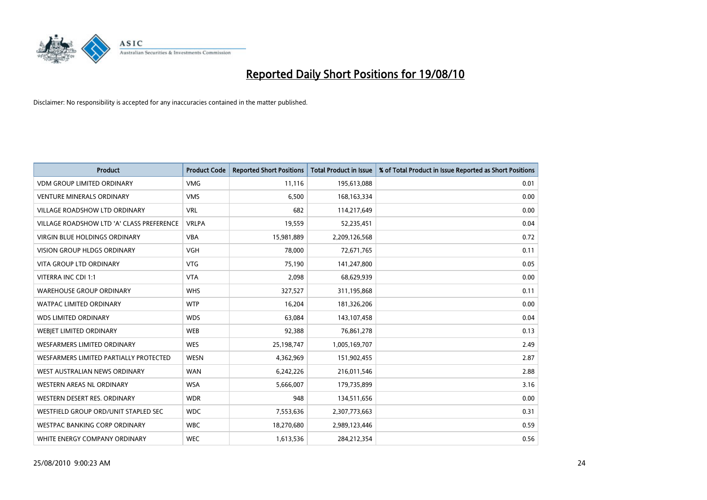

| <b>Product</b>                            | <b>Product Code</b> | <b>Reported Short Positions</b> | <b>Total Product in Issue</b> | % of Total Product in Issue Reported as Short Positions |
|-------------------------------------------|---------------------|---------------------------------|-------------------------------|---------------------------------------------------------|
| <b>VDM GROUP LIMITED ORDINARY</b>         | <b>VMG</b>          | 11,116                          | 195,613,088                   | 0.01                                                    |
| <b>VENTURE MINERALS ORDINARY</b>          | <b>VMS</b>          | 6,500                           | 168, 163, 334                 | 0.00                                                    |
| <b>VILLAGE ROADSHOW LTD ORDINARY</b>      | <b>VRL</b>          | 682                             | 114,217,649                   | 0.00                                                    |
| VILLAGE ROADSHOW LTD 'A' CLASS PREFERENCE | <b>VRLPA</b>        | 19,559                          | 52,235,451                    | 0.04                                                    |
| <b>VIRGIN BLUE HOLDINGS ORDINARY</b>      | <b>VBA</b>          | 15,981,889                      | 2,209,126,568                 | 0.72                                                    |
| <b>VISION GROUP HLDGS ORDINARY</b>        | <b>VGH</b>          | 78,000                          | 72,671,765                    | 0.11                                                    |
| <b>VITA GROUP LTD ORDINARY</b>            | <b>VTG</b>          | 75.190                          | 141,247,800                   | 0.05                                                    |
| VITERRA INC CDI 1:1                       | <b>VTA</b>          | 2,098                           | 68,629,939                    | 0.00                                                    |
| <b>WAREHOUSE GROUP ORDINARY</b>           | <b>WHS</b>          | 327,527                         | 311,195,868                   | 0.11                                                    |
| <b>WATPAC LIMITED ORDINARY</b>            | <b>WTP</b>          | 16,204                          | 181,326,206                   | 0.00                                                    |
| <b>WDS LIMITED ORDINARY</b>               | <b>WDS</b>          | 63,084                          | 143,107,458                   | 0.04                                                    |
| WEBJET LIMITED ORDINARY                   | <b>WEB</b>          | 92,388                          | 76,861,278                    | 0.13                                                    |
| <b>WESFARMERS LIMITED ORDINARY</b>        | <b>WES</b>          | 25,198,747                      | 1,005,169,707                 | 2.49                                                    |
| WESFARMERS LIMITED PARTIALLY PROTECTED    | <b>WESN</b>         | 4,362,969                       | 151,902,455                   | 2.87                                                    |
| WEST AUSTRALIAN NEWS ORDINARY             | <b>WAN</b>          | 6,242,226                       | 216,011,546                   | 2.88                                                    |
| WESTERN AREAS NL ORDINARY                 | <b>WSA</b>          | 5,666,007                       | 179,735,899                   | 3.16                                                    |
| WESTERN DESERT RES. ORDINARY              | <b>WDR</b>          | 948                             | 134,511,656                   | 0.00                                                    |
| WESTFIELD GROUP ORD/UNIT STAPLED SEC      | <b>WDC</b>          | 7,553,636                       | 2,307,773,663                 | 0.31                                                    |
| <b>WESTPAC BANKING CORP ORDINARY</b>      | <b>WBC</b>          | 18,270,680                      | 2,989,123,446                 | 0.59                                                    |
| WHITE ENERGY COMPANY ORDINARY             | <b>WEC</b>          | 1,613,536                       | 284,212,354                   | 0.56                                                    |